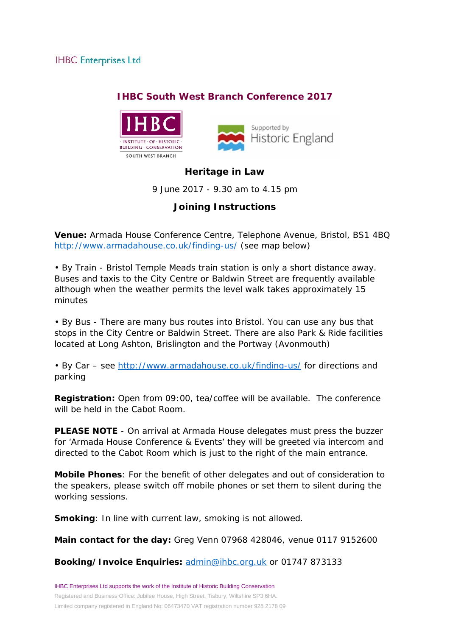### **IHBC South West Branch Conference 2017**





## **Heritage in Law**

9 June 2017 - 9.30 am to 4.15 pm

# **Joining Instructions**

**Venue:** Armada House Conference Centre, Telephone Avenue, Bristol, BS1 4BQ <http://www.armadahouse.co.uk/finding-us/> (see map below)

• By Train - Bristol Temple Meads train station is only a short distance away. Buses and taxis to the City Centre or Baldwin Street are frequently available although when the weather permits the level walk takes approximately 15 minutes

• By Bus - There are many bus routes into Bristol. You can use any bus that stops in the City Centre or Baldwin Street. There are also Park & Ride facilities located at Long Ashton, Brislington and the Portway (Avonmouth)

• By Car – see <http://www.armadahouse.co.uk/finding-us/> for directions and parking

**Registration:** Open from 09:00, tea/coffee will be available. The conference will be held in the Cabot Room.

**PLEASE NOTE** - On arrival at Armada House delegates must press the buzzer for 'Armada House Conference & Events' they will be greeted via intercom and directed to the Cabot Room which is just to the right of the main entrance.

**Mobile Phones**: For the benefit of other delegates and out of consideration to the speakers, please switch off mobile phones or set them to silent during the working sessions.

**Smoking**: In line with current law, smoking is not allowed.

**Main contact for the day:** Greg Venn 07968 428046, venue 0117 9152600

**Booking/Invoice Enquiries:** [admin@ihbc.org.uk](mailto:admin@ihbc.org.uk?subject=Heritage%20in%20Law) or 01747 873133